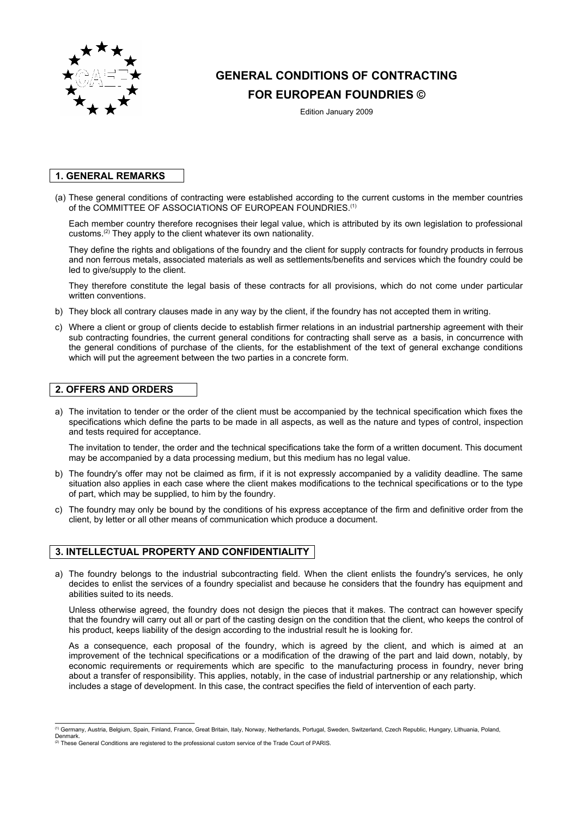

# **GENERAL CONDITIONS OF CONTRACTING**

## **FOR EUROPEAN FOUNDRIES ©**

Edition January 2009

## **1. GENERAL REMARKS**

(a) These general conditions of contracting were established according to the current customs in the member countries of the COMMITTEE OF ASSOCIATIONS OF EUROPEAN FOUNDRIES.<sup>(1)</sup>

Each member country therefore recognises their legal value, which is attributed by its own legislation to professional customs.(2) They apply to the client whatever its own nationality.

They define the rights and obligations of the foundry and the client for supply contracts for foundry products in ferrous and non ferrous metals, associated materials as well as settlements/benefits and services which the foundry could be led to give/supply to the client.

They therefore constitute the legal basis of these contracts for all provisions, which do not come under particular written conventions.

- b) They block all contrary clauses made in any way by the client, if the foundry has not accepted them in writing.
- c) Where a client or group of clients decide to establish firmer relations in an industrial partnership agreement with their sub contracting foundries, the current general conditions for contracting shall serve as a basis, in concurrence with the general conditions of purchase of the clients, for the establishment of the text of general exchange conditions which will put the agreement between the two parties in a concrete form*.*

## **2. OFFERS AND ORDERS**

a) The invitation to tender or the order of the client must be accompanied by the technical specification which fixes the specifications which define the parts to be made in all aspects, as well as the nature and types of control, inspection and tests required for acceptance.

The invitation to tender, the order and the technical specifications take the form of a written document. This document may be accompanied by a data processing medium, but this medium has no legal value.

- b) The foundry's offer may not be claimed as firm, if it is not expressly accompanied by a validity deadline. The same situation also applies in each case where the client makes modifications to the technical specifications or to the type of part, which may be supplied, to him by the foundry.
- c) The foundry may only be bound by the conditions of his express acceptance of the firm and definitive order from the client, by letter or all other means of communication which produce a document.

## **3. INTELLECTUAL PROPERTY AND CONFIDENTIALITY**

a) The foundry belongs to the industrial subcontracting field. When the client enlists the foundry's services, he only decides to enlist the services of a foundry specialist and because he considers that the foundry has equipment and abilities suited to its needs.

Unless otherwise agreed, the foundry does not design the pieces that it makes. The contract can however specify that the foundry will carry out all or part of the casting design on the condition that the client, who keeps the control of his product, keeps liability of the design according to the industrial result he is looking for.

As a consequence, each proposal of the foundry, which is agreed by the client, and which is aimed at an improvement of the technical specifications or a modification of the drawing of the part and laid down, notably, by economic requirements or requirements which are specific to the manufacturing process in foundry, never bring about a transfer of responsibility. This applies, notably, in the case of industrial partnership or any relationship, which includes a stage of development. In this case, the contract specifies the field of intervention of each party.

<sup>(1)</sup> Germany, Austria, Belgium, Spain, Finland, France, Great Britain, Italy, Norway, Netherlands, Portugal, Sweden, Switzerland, Czech Republic, Hungary, Lithuania, Poland,

Denmark.<br><sup>②</sup> These General Conditions are registered to the professional custom service of the Trade Court of PARIS.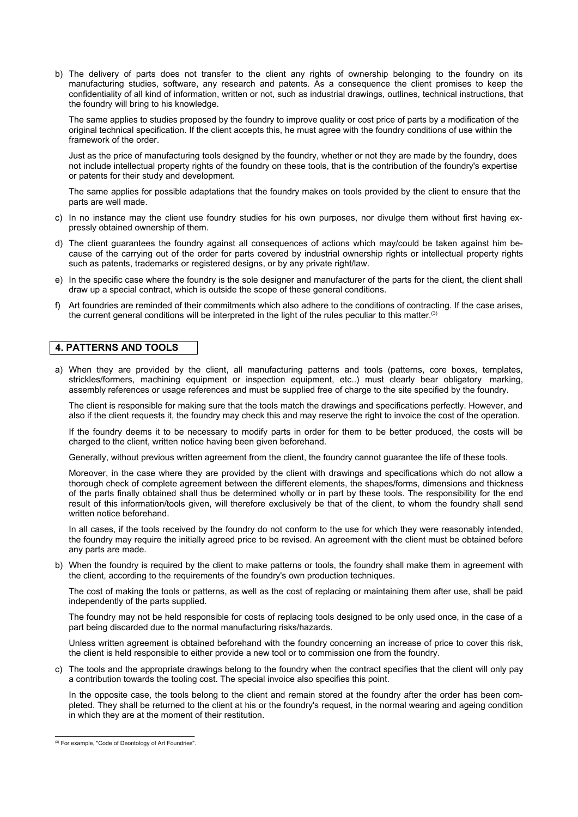b) The delivery of parts does not transfer to the client any rights of ownership belonging to the foundry on its manufacturing studies, software, any research and patents. As a consequence the client promises to keep the confidentiality of all kind of information, written or not, such as industrial drawings, outlines, technical instructions, that the foundry will bring to his knowledge.

The same applies to studies proposed by the foundry to improve quality or cost price of parts by a modification of the original technical specification. If the client accepts this, he must agree with the foundry conditions of use within the framework of the order.

Just as the price of manufacturing tools designed by the foundry, whether or not they are made by the foundry, does not include intellectual property rights of the foundry on these tools, that is the contribution of the foundry's expertise or patents for their study and development.

The same applies for possible adaptations that the foundry makes on tools provided by the client to ensure that the parts are well made.

- c) In no instance may the client use foundry studies for his own purposes, nor divulge them without first having expressly obtained ownership of them.
- d) The client guarantees the foundry against all consequences of actions which may/could be taken against him because of the carrying out of the order for parts covered by industrial ownership rights or intellectual property rights such as patents, trademarks or registered designs, or by any private right/law.
- e) In the specific case where the foundry is the sole designer and manufacturer of the parts for the client, the client shall draw up a special contract, which is outside the scope of these general conditions.
- f) Art foundries are reminded of their commitments which also adhere to the conditions of contracting. If the case arises, the current general conditions will be interpreted in the light of the rules peculiar to this matter.<sup>(3)</sup>

#### **4. PATTERNS AND TOOLS**

a) When they are provided by the client, all manufacturing patterns and tools (patterns, core boxes, templates, strickles/formers, machining equipment or inspection equipment, etc..) must clearly bear obligatory marking, assembly references or usage references and must be supplied free of charge to the site specified by the foundry.

The client is responsible for making sure that the tools match the drawings and specifications perfectly. However, and also if the client requests it, the foundry may check this and may reserve the right to invoice the cost of the operation.

If the foundry deems it to be necessary to modify parts in order for them to be better produced, the costs will be charged to the client, written notice having been given beforehand.

Generally, without previous written agreement from the client, the foundry cannot guarantee the life of these tools.

Moreover, in the case where they are provided by the client with drawings and specifications which do not allow a thorough check of complete agreement between the different elements, the shapes/forms, dimensions and thickness of the parts finally obtained shall thus be determined wholly or in part by these tools. The responsibility for the end result of this information/tools given, will therefore exclusively be that of the client, to whom the foundry shall send written notice beforehand.

In all cases, if the tools received by the foundry do not conform to the use for which they were reasonably intended, the foundry may require the initially agreed price to be revised. An agreement with the client must be obtained before any parts are made.

b) When the foundry is required by the client to make patterns or tools, the foundry shall make them in agreement with the client, according to the requirements of the foundry's own production techniques.

The cost of making the tools or patterns, as well as the cost of replacing or maintaining them after use, shall be paid independently of the parts supplied.

The foundry may not be held responsible for costs of replacing tools designed to be only used once, in the case of a part being discarded due to the normal manufacturing risks/hazards.

Unless written agreement is obtained beforehand with the foundry concerning an increase of price to cover this risk, the client is held responsible to either provide a new tool or to commission one from the foundry.

c) The tools and the appropriate drawings belong to the foundry when the contract specifies that the client will only pay a contribution towards the tooling cost. The special invoice also specifies this point.

In the opposite case, the tools belong to the client and remain stored at the foundry after the order has been completed. They shall be returned to the client at his or the foundry's request, in the normal wearing and ageing condition in which they are at the moment of their restitution.

<sup>(3)</sup> For example, "Code of Deontology of Art Foundries".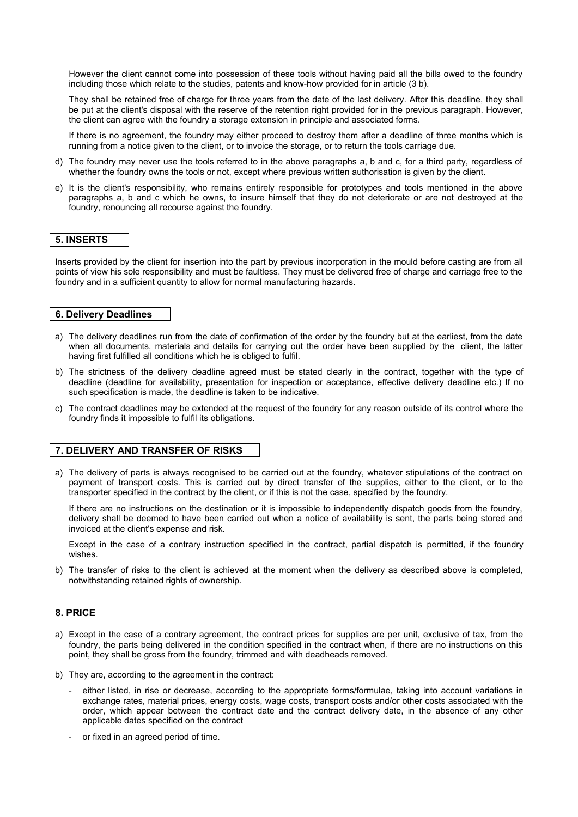However the client cannot come into possession of these tools without having paid all the bills owed to the foundry including those which relate to the studies, patents and know-how provided for in article (3 b).

They shall be retained free of charge for three years from the date of the last delivery. After this deadline, they shall be put at the client's disposal with the reserve of the retention right provided for in the previous paragraph. However, the client can agree with the foundry a storage extension in principle and associated forms.

If there is no agreement, the foundry may either proceed to destroy them after a deadline of three months which is running from a notice given to the client, or to invoice the storage, or to return the tools carriage due.

- d) The foundry may never use the tools referred to in the above paragraphs a, b and c, for a third party, regardless of whether the foundry owns the tools or not, except where previous written authorisation is given by the client.
- e) It is the client's responsibility, who remains entirely responsible for prototypes and tools mentioned in the above paragraphs a, b and c which he owns, to insure himself that they do not deteriorate or are not destroyed at the foundry, renouncing all recourse against the foundry.

## **5. INSERTS**

Inserts provided by the client for insertion into the part by previous incorporation in the mould before casting are from all points of view his sole responsibility and must be faultless. They must be delivered free of charge and carriage free to the foundry and in a sufficient quantity to allow for normal manufacturing hazards.

## **6. Delivery Deadlines**

- a) The delivery deadlines run from the date of confirmation of the order by the foundry but at the earliest, from the date when all documents, materials and details for carrying out the order have been supplied by the client, the latter having first fulfilled all conditions which he is obliged to fulfil.
- b) The strictness of the delivery deadline agreed must be stated clearly in the contract, together with the type of deadline (deadline for availability, presentation for inspection or acceptance, effective delivery deadline etc.) If no such specification is made, the deadline is taken to be indicative.
- c) The contract deadlines may be extended at the request of the foundry for any reason outside of its control where the foundry finds it impossible to fulfil its obligations.

## **7. DELIVERY AND TRANSFER OF RISKS**

a) The delivery of parts is always recognised to be carried out at the foundry, whatever stipulations of the contract on payment of transport costs. This is carried out by direct transfer of the supplies, either to the client, or to the transporter specified in the contract by the client, or if this is not the case, specified by the foundry.

If there are no instructions on the destination or it is impossible to independently dispatch goods from the foundry, delivery shall be deemed to have been carried out when a notice of availability is sent, the parts being stored and invoiced at the client's expense and risk.

Except in the case of a contrary instruction specified in the contract, partial dispatch is permitted, if the foundry wishes.

b) The transfer of risks to the client is achieved at the moment when the delivery as described above is completed, notwithstanding retained rights of ownership.

#### **8. PRICE**

- a) Except in the case of a contrary agreement, the contract prices for supplies are per unit, exclusive of tax, from the foundry, the parts being delivered in the condition specified in the contract when, if there are no instructions on this point, they shall be gross from the foundry, trimmed and with deadheads removed.
- b) They are, according to the agreement in the contract:
	- either listed, in rise or decrease, according to the appropriate forms/formulae, taking into account variations in exchange rates, material prices, energy costs, wage costs, transport costs and/or other costs associated with the order, which appear between the contract date and the contract delivery date, in the absence of any other applicable dates specified on the contract
	- or fixed in an agreed period of time.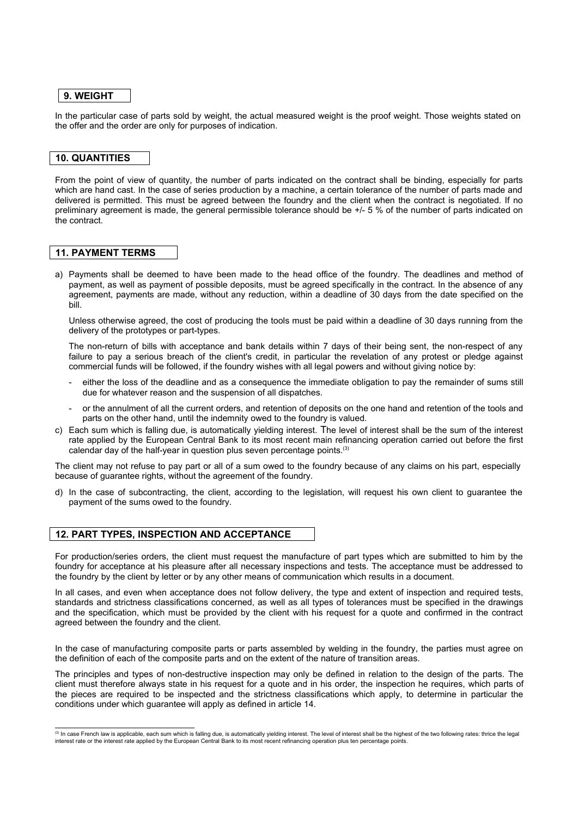#### **9. WEIGHT**

In the particular case of parts sold by weight, the actual measured weight is the proof weight. Those weights stated on the offer and the order are only for purposes of indication.

## **10. QUANTITIES**

From the point of view of quantity, the number of parts indicated on the contract shall be binding, especially for parts which are hand cast. In the case of series production by a machine, a certain tolerance of the number of parts made and delivered is permitted. This must be agreed between the foundry and the client when the contract is negotiated. If no preliminary agreement is made, the general permissible tolerance should be +/- 5 % of the number of parts indicated on the contract.

## **11. PAYMENT TERMS**

a) Payments shall be deemed to have been made to the head office of the foundry. The deadlines and method of payment, as well as payment of possible deposits, must be agreed specifically in the contract. In the absence of any agreement, payments are made, without any reduction, within a deadline of 30 days from the date specified on the bill.

Unless otherwise agreed, the cost of producing the tools must be paid within a deadline of 30 days running from the delivery of the prototypes or part-types.

The non-return of bills with acceptance and bank details within 7 days of their being sent, the non-respect of any failure to pay a serious breach of the client's credit, in particular the revelation of any protest or pledge against commercial funds will be followed, if the foundry wishes with all legal powers and without giving notice by:

- either the loss of the deadline and as a consequence the immediate obligation to pay the remainder of sums still due for whatever reason and the suspension of all dispatches.
- or the annulment of all the current orders, and retention of deposits on the one hand and retention of the tools and parts on the other hand, until the indemnity owed to the foundry is valued.
- c) Each sum which is falling due, is automatically yielding interest. The level of interest shall be the sum of the interest rate applied by the European Central Bank to its most recent main refinancing operation carried out before the first calendar day of the half-year in question plus seven percentage points.<sup>(3)</sup>

The client may not refuse to pay part or all of a sum owed to the foundry because of any claims on his part, especially because of guarantee rights, without the agreement of the foundry.

d) In the case of subcontracting, the client, according to the legislation, will request his own client to guarantee the payment of the sums owed to the foundry.

#### **12. PART TYPES, INSPECTION AND ACCEPTANCE**

For production/series orders, the client must request the manufacture of part types which are submitted to him by the foundry for acceptance at his pleasure after all necessary inspections and tests. The acceptance must be addressed to the foundry by the client by letter or by any other means of communication which results in a document.

In all cases, and even when acceptance does not follow delivery, the type and extent of inspection and required tests, standards and strictness classifications concerned, as well as all types of tolerances must be specified in the drawings and the specification, which must be provided by the client with his request for a quote and confirmed in the contract agreed between the foundry and the client.

In the case of manufacturing composite parts or parts assembled by welding in the foundry, the parties must agree on the definition of each of the composite parts and on the extent of the nature of transition areas.

The principles and types of non-destructive inspection may only be defined in relation to the design of the parts. The client must therefore always state in his request for a quote and in his order, the inspection he requires, which parts of the pieces are required to be inspected and the strictness classifications which apply, to determine in particular the conditions under which guarantee will apply as defined in article 14.

<sup>(3)</sup> In case French law is applicable, each sum which is falling due, is automatically yielding interest. The level of interest shall be the highest of the two following rates: thrice the legal interest rate or the interest rate applied by the European Central Bank to its most recent refinancing operation plus ten percentage points.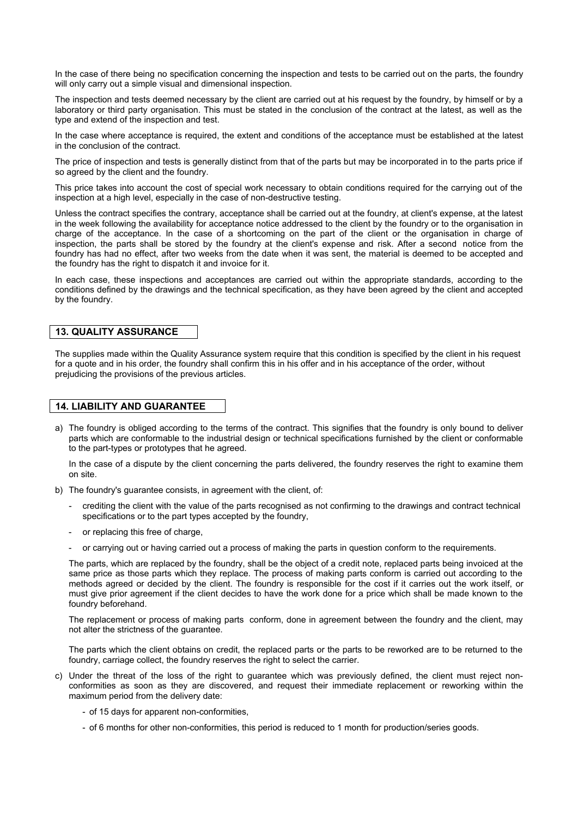In the case of there being no specification concerning the inspection and tests to be carried out on the parts, the foundry will only carry out a simple visual and dimensional inspection.

The inspection and tests deemed necessary by the client are carried out at his request by the foundry, by himself or by a laboratory or third party organisation. This must be stated in the conclusion of the contract at the latest, as well as the type and extend of the inspection and test.

In the case where acceptance is required, the extent and conditions of the acceptance must be established at the latest in the conclusion of the contract.

The price of inspection and tests is generally distinct from that of the parts but may be incorporated in to the parts price if so agreed by the client and the foundry.

This price takes into account the cost of special work necessary to obtain conditions required for the carrying out of the inspection at a high level, especially in the case of non-destructive testing.

Unless the contract specifies the contrary, acceptance shall be carried out at the foundry, at client's expense, at the latest in the week following the availability for acceptance notice addressed to the client by the foundry or to the organisation in charge of the acceptance. In the case of a shortcoming on the part of the client or the organisation in charge of inspection, the parts shall be stored by the foundry at the client's expense and risk. After a second notice from the foundry has had no effect, after two weeks from the date when it was sent, the material is deemed to be accepted and the foundry has the right to dispatch it and invoice for it.

In each case, these inspections and acceptances are carried out within the appropriate standards, according to the conditions defined by the drawings and the technical specification, as they have been agreed by the client and accepted by the foundry.

#### **13. QUALITY ASSURANCE**

The supplies made within the Quality Assurance system require that this condition is specified by the client in his request for a quote and in his order, the foundry shall confirm this in his offer and in his acceptance of the order, without prejudicing the provisions of the previous articles.

## **14. LIABILITY AND GUARANTEE**

a) The foundry is obliged according to the terms of the contract. This signifies that the foundry is only bound to deliver parts which are conformable to the industrial design or technical specifications furnished by the client or conformable to the part-types or prototypes that he agreed.

In the case of a dispute by the client concerning the parts delivered, the foundry reserves the right to examine them on site.

- b) The foundry's guarantee consists, in agreement with the client, of:
	- crediting the client with the value of the parts recognised as not confirming to the drawings and contract technical specifications or to the part types accepted by the foundry,
	- or replacing this free of charge,
	- or carrying out or having carried out a process of making the parts in question conform to the requirements.

The parts, which are replaced by the foundry, shall be the object of a credit note, replaced parts being invoiced at the same price as those parts which they replace. The process of making parts conform is carried out according to the methods agreed or decided by the client. The foundry is responsible for the cost if it carries out the work itself, or must give prior agreement if the client decides to have the work done for a price which shall be made known to the foundry beforehand.

The replacement or process of making parts conform, done in agreement between the foundry and the client, may not alter the strictness of the guarantee.

The parts which the client obtains on credit, the replaced parts or the parts to be reworked are to be returned to the foundry, carriage collect, the foundry reserves the right to select the carrier.

- c) Under the threat of the loss of the right to guarantee which was previously defined, the client must reject nonconformities as soon as they are discovered, and request their immediate replacement or reworking within the maximum period from the delivery date:
	- of 15 days for apparent non-conformities,
	- of 6 months for other non-conformities, this period is reduced to 1 month for production/series goods.